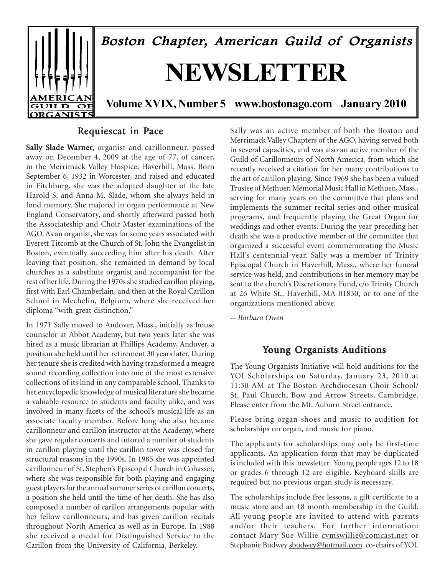

### Requiescat in Pace

Sally Slade Warner, organist and carillonneur, passed away on December 4, 2009 at the age of 77, of cancer, in the Merrimack Valley Hospice, Haverhill, Mass. Born September 6, 1932 in Worcester, and raised and educated in Fitchburg, she was the adopted daughter of the late Harold S. and Anna M. Slade, whom she always held in fond memory. She majored in organ performance at New England Conservatory, and shortly afterward passed both the Associateship and Choir Master examinations of the AGO. As an organist, she was for some years associated with Everett Titcomb at the Church of St. John the Evangelist in Boston, eventually succeeding him after his death. After leaving that position, she remained in demand by local churches as a substitute organist and accompanist for the rest of her life. During the 1970s she studied carillon playing, first with Earl Chamberlain, and then at the Royal Carillon School in Mechelin, Belgium, where she received her diploma "with great distinction."

In 1971 Sally moved to Andover, Mass., initially as house counselor at Abbot Academy, but two years later she was hired as a music librarian at Phillips Academy, Andover, a position she held until her retirement 30 years later. During her tenure she is credited with having transformed a meagre sound recording collection into one of the most extensive collections of its kind in any comparable school. Thanks to her encyclopedic knowledge of musical literature she became a valuable resource to students and faculty alike, and was involved in many facets of the school's musical life as an associate faculty member. Before long she also became carillonneur and carillon instructor at the Academy, where she gave regular concerts and tutored a number of students in carillon playing until the carillon tower was closed for structural reasons in the 1990s. In 1985 she was appointed carillonneur of St. Stephen's Episcopal Church in Cohasset, where she was responsible for both playing and engaging guest players for the annual summer series of carillon concerts, a position she held until the time of her death. She has also composed a number of carillon arrangements popular with her fellow carillonneurs, and has given carillon recitals throughout North America as well as in Europe. In 1988 she received a medal for Distinguished Service to the Carillon from the University of California, Berkeley.

Sally was an active member of both the Boston and Merrimack Valley Chapters of the AGO, having served both in several capacities, and was also an active member of the Guild of Carillonneurs of North America, from which she recently received a citation for her many contributions to the art of carillon playing. Since 1969 she has been a valued Trustee of Methuen Memorial Music Hall in Methuen, Mass., serving for many years on the committee that plans and implements the summer recital series and other musical programs, and frequently playing the Great Organ for weddings and other events. During the year preceding her death she was a productive member of the committee that organized a successful event commemorating the Music Hall's centennial year. Sally was a member of Trinity Episcopal Church in Haverhill, Mass., where her funeral service was held, and contributions in her memory may be sent to the church's Discretionary Fund, c/o Trinity Church at 26 White St., Haverhill, MA 01830, or to one of the organizations mentioned above.

*-- Barbara Owen*

### Young Organists Auditions

The Young Organists Initiative will hold auditions for the YOI Scholarships on Saturday, January 23, 2010 at 11:30 AM at The Boston Archdiocesan Choir School/ St. Paul Church, Bow and Arrow Streets, Cambridge. Please enter from the Mt. Auburn Street entrance.

Please bring organ shoes and music to audition for scholarships on organ, and music for piano.

The applicants for scholarships may only be first-time applicants. An application form that may be duplicated is included with this newsletter. Young people ages 12 to 18 or grades 6 through 12 are eligible. Keyboard skills are required but no previous organ study is necessary.

The scholarships include free lessons, a gift certificate to a music store and an 18 month membership in the Guild. All young people are invited to attend with parents and/or their teachers. For further information: contact Mary Sue Willie cvmswillie@comcast.net or Stephanie Budwey sbudwey@hotmail.com co-chairs of YOI.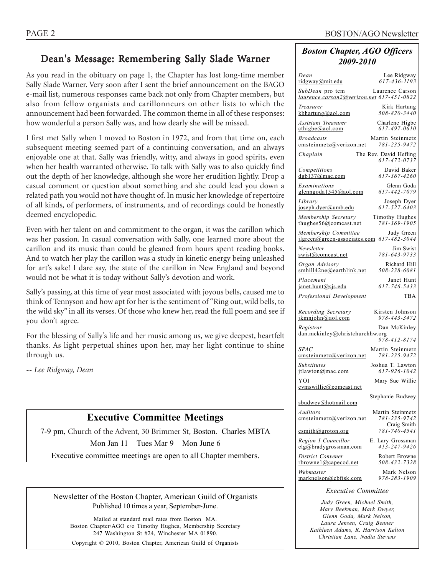### Dean's Message: Remembering Sally Slade Warner

As you read in the obituary on page 1, the Chapter has lost long-time member Sally Slade Warner. Very soon after I sent the brief announcement on the BAGO e-mail list, numerous responses came back not only from Chapter members, but also from fellow organists and carillonneurs on other lists to which the announcement had been forwarded. The common theme in all of these responses: how wonderful a person Sally was, and how dearly she will be missed.

I first met Sally when I moved to Boston in 1972, and from that time on, each subsequent meeting seemed part of a continuing conversation, and an always enjoyable one at that. Sally was friendly, witty, and always in good spirits, even when her health warranted otherwise. To talk with Sally was to also quickly find out the depth of her knowledge, although she wore her erudition lightly. Drop a casual comment or question about something and she could lead you down a related path you would not have thought of. In music her knowledge of repertoire of all kinds, of performers, of instruments, and of recordings could be honestly deemed encyclopedic.

Even with her talent on and commitment to the organ, it was the carillon which was her passion. In casual conversation with Sally, one learned more about the carillon and its music than could be gleaned from hours spent reading books. And to watch her play the carillon was a study in kinetic energy being unleashed for art's sake! I dare say, the state of the carillon in New England and beyond would not be what it is today without Sally's devotion and work.

Sally's passing, at this time of year most associated with joyous bells, caused me to think of Tennyson and how apt for her is the sentiment of "Ring out, wild bells, to the wild sky" in all its verses. Of those who knew her, read the full poem and see if you don't agree.

For the blessing of Sally's life and her music among us, we give deepest, heartfelt thanks. As light perpetual shines upon her, may her light continue to shine through us.

*-- Lee Ridgway, Dean*

### **Executive Committee Meetings**

7-9 pm, Church of the Advent, 30 Brimmer St, Boston. Charles MBTA Mon Jan 11 Tues Mar 9 Mon June 6 Executive committee meetings are open to all Chapter members.

Newsletter of the Boston Chapter, American Guild of Organists Published 10 times a year, September-June.

Mailed at standard mail rates from Boston MA. Boston Chapter/AGO c/o Timothy Hughes, Membership Secretary 247 Washington St #24, Winchester MA 01890.

Copyright © 2010, Boston Chapter, American Guild of Organists

#### *Boston Chapter, AGO Officers 2009-2010*

| Dean                                                         | Lee Ridgway                            |
|--------------------------------------------------------------|----------------------------------------|
| ridgway@mit.edu                                              | $617 - 436 - 1193$                     |
| SubDean pro tem<br>laurence.carson2@verizon.net 617-451-0822 | Laurence Carson                        |
| Treasurer                                                    | Kirk Hartung                           |
| $k$ bhartung@aol.com                                         | $508 - 820 - 3440$                     |
| <b>Assistant Treasurer</b>                                   | Charlene Higbe                         |
| $\text{cthigbe}(a)$ aol.com                                  | 617-497-0610                           |
| <b>Broadcasts</b>                                            | Martin Steinmetz                       |
| cmsteinmetz@verizon.net                                      | 781-235-9472                           |
| Chaplain                                                     | The Rev. David Hefling<br>617-472-0737 |
| Competitions                                                 | David Baker                            |
| dgb137@mac.com                                               | 617-367-4260                           |
| Examinations                                                 | Glenn Goda                             |
| glenngoda1545@aol.com                                        | 617-442-7079                           |
| Library                                                      | Joseph Dyer                            |
| joseph.dyer@umb.edu                                          | 617-527-6403                           |
| Membership Secretary                                         | Timothy Hughes                         |
| thughes $56@$ comcast.net                                    | 781-369-1905                           |
| Membership Committee                                         | Judy Green                             |
| $ilgreen(\omega$ green-associates.com                        | 617-482-3044                           |
| Newsletter                                                   | Jim Swist                              |
| swist@comcast.net                                            | 781-643-9733                           |
| Organ Advisory                                               | Richard Hill                           |
| smhill42ne@earthlink.net                                     | 508-238-6081                           |
| Placement                                                    | Janet Hunt                             |
| janet.hunt@sjs.edu                                           | 617-746-5433                           |
| Professional Development                                     | TBA                                    |
| Recording Secretary                                          | Kirsten Johnson                        |
| ikmniohn@aol.com                                             | 978-443-3472                           |
| Registrar<br>dan.mckinley@christchurchhw.org                 | Dan McKinley                           |
| SPAC                                                         | 978-412-8174<br>Martin Steinmetz       |
| emsteinmetz@verizon.net                                      | 781-235-9472                           |
| <b>Substitutes</b>                                           | Joshua T. Lawton                       |
| itlawton@mac.com                                             | 617-926-1042                           |
| YOI                                                          | Mary Sue Willie                        |
| cymswillie@comcast.net                                       | Stephanie Budwey                       |
| sbudwey@hotmail.com<br><b>Auditors</b>                       | Martin Steinmetz                       |
| cmsteinmetz@verizon.net                                      | 781-235-9742<br>Craig Smith            |
| csmith@groton.org                                            | 781-740-4541                           |
| Region I Councillor                                          | E. Lary Grossman                       |
| elg@bradygrossman.com                                        | $413 - 247 - 9426$                     |
| District Convener                                            | Robert Browne                          |
| rbrownel@capecod.net                                         | 508-432-7328                           |
| Webmaster                                                    | Mark Nelson                            |
| marknelson@cbfisk.com                                        | 978-283-1909                           |
| $E_{vacutiva}$ Committee                                     |                                        |

#### *Executive Committee*

*Judy Green, Michael Smith, Mary Beekman, Mark Dwyer, Glenn Goda, Mark Nelson, Laura Jensen, Craig Benner Kathleen Adams, R. Harrison Kelton Christian Lane, Nadia Stevens*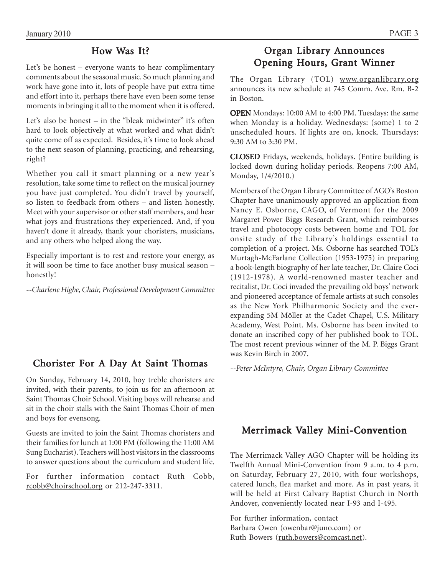### How Was It?

Let's be honest – everyone wants to hear complimentary comments about the seasonal music. So much planning and work have gone into it, lots of people have put extra time and effort into it, perhaps there have even been some tense moments in bringing it all to the moment when it is offered.

Let's also be honest – in the "bleak midwinter" it's often hard to look objectively at what worked and what didn't quite come off as expected. Besides, it's time to look ahead to the next season of planning, practicing, and rehearsing, right?

Whether you call it smart planning or a new year's resolution, take some time to reflect on the musical journey you have just completed. You didn't travel by yourself, so listen to feedback from others – and listen honestly. Meet with your supervisor or other staff members, and hear what joys and frustrations they experienced. And, if you haven't done it already, thank your choristers, musicians, and any others who helped along the way.

Especially important is to rest and restore your energy, as it will soon be time to face another busy musical season – honestly!

*--Charlene Higbe, Chair, Professional Development Committee*

## **Chorister For A Day At Saint Thomas** *--Peter McIntyre, Chair, Organ Library Committee*

On Sunday, February 14, 2010, boy treble choristers are invited, with their parents, to join us for an afternoon at Saint Thomas Choir School. Visiting boys will rehearse and sit in the choir stalls with the Saint Thomas Choir of men and boys for evensong.

Guests are invited to join the Saint Thomas choristers and their families for lunch at 1:00 PM (following the 11:00 AM Sung Eucharist). Teachers will host visitors in the classrooms to answer questions about the curriculum and student life.

For further information contact Ruth Cobb, rcobb@choirschool.org or 212-247-3311.

### Organ Library Announces Opening Hours, Grant Winner

The Organ Library (TOL) www.organlibrary.org announces its new schedule at 745 Comm. Ave. Rm. B-2 in Boston.

OPEN Mondays: 10:00 AM to 4:00 PM. Tuesdays: the same when Monday is a holiday. Wednesdays: (some) 1 to 2 unscheduled hours. If lights are on, knock. Thursdays: 9:30 AM to 3:30 PM.

CLOSED Fridays, weekends, holidays. (Entire building is locked down during holiday periods. Reopens 7:00 AM, Monday, 1/4/2010.)

Members of the Organ Library Committee of AGO's Boston Chapter have unanimously approved an application from Nancy E. Osborne, CAGO, of Vermont for the 2009 Margaret Power Biggs Research Grant, which reimburses travel and photocopy costs between home and TOL for onsite study of the Library's holdings essential to completion of a project. Ms. Osborne has searched TOL's Murtagh-McFarlane Collection (1953-1975) in preparing a book-length biography of her late teacher, Dr. Claire Coci (1912-1978). A world-renowned master teacher and recitalist, Dr. Coci invaded the prevailing old boys' network and pioneered acceptance of female artists at such consoles as the New York Philharmonic Society and the everexpanding 5M Möller at the Cadet Chapel, U.S. Military Academy, West Point. Ms. Osborne has been invited to donate an inscribed copy of her published book to TOL. The most recent previous winner of the M. P. Biggs Grant was Kevin Birch in 2007.

### Merrimack Valley Mini-Convention

The Merrimack Valley AGO Chapter will be holding its Twelfth Annual Mini-Convention from 9 a.m. to 4 p.m. on Saturday, February 27, 2010, with four workshops, catered lunch, flea market and more. As in past years, it will be held at First Calvary Baptist Church in North Andover, conveniently located near I-93 and I-495.

For further information, contact Barbara Owen (owenbar@juno.com) or Ruth Bowers (ruth.bowers@comcast.net).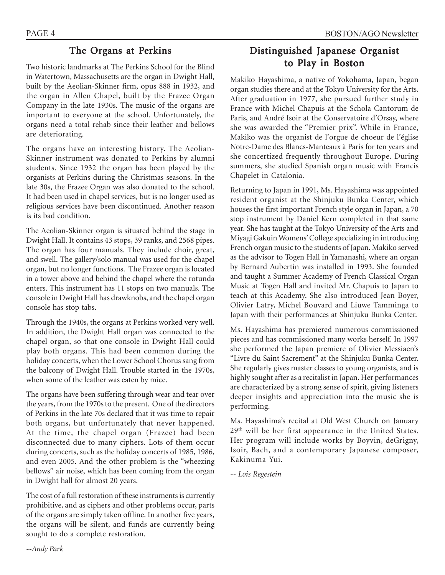### The Organs at Perkins

Two historic landmarks at The Perkins School for the Blind in Watertown, Massachusetts are the organ in Dwight Hall, built by the Aeolian-Skinner firm, opus 888 in 1932, and the organ in Allen Chapel, built by the Frazee Organ Company in the late 1930s. The music of the organs are important to everyone at the school. Unfortunately, the organs need a total rehab since their leather and bellows are deteriorating.

The organs have an interesting history. The Aeolian-Skinner instrument was donated to Perkins by alumni students. Since 1932 the organ has been played by the organists at Perkins during the Christmas seasons. In the late 30s, the Frazee Organ was also donated to the school. It had been used in chapel services, but is no longer used as religious services have been discontinued. Another reason is its bad condition.

The Aeolian-Skinner organ is situated behind the stage in Dwight Hall. It contains 43 stops, 39 ranks, and 2568 pipes. The organ has four manuals. They include choir, great, and swell. The gallery/solo manual was used for the chapel organ, but no longer functions. The Frazee organ is located in a tower above and behind the chapel where the rotunda enters. This instrument has 11 stops on two manuals. The console in Dwight Hall has drawknobs, and the chapel organ console has stop tabs.

Through the 1940s, the organs at Perkins worked very well. In addition, the Dwight Hall organ was connected to the chapel organ, so that one console in Dwight Hall could play both organs. This had been common during the holiday concerts, when the Lower School Chorus sang from the balcony of Dwight Hall. Trouble started in the 1970s, when some of the leather was eaten by mice.

The organs have been suffering through wear and tear over the years, from the 1970s to the present. One of the directors of Perkins in the late 70s declared that it was time to repair both organs, but unfortunately that never happened. At the time, the chapel organ (Frazee) had been disconnected due to many ciphers. Lots of them occur during concerts, such as the holiday concerts of 1985, 1986, and even 2005. And the other problem is the "wheezing bellows" air noise, which has been coming from the organ in Dwight hall for almost 20 years.

The cost of a full restoration of these instruments is currently prohibitive, and as ciphers and other problems occur, parts of the organs are simply taken offline. In another five years, the organs will be silent, and funds are currently being sought to do a complete restoration.

### Distinguished Japanese Organist to Play in Boston

Makiko Hayashima, a native of Yokohama, Japan, began organ studies there and at the Tokyo University for the Arts. After graduation in 1977, she pursued further study in France with Michel Chapuis at the Schola Cantorum de Paris, and André Isoir at the Conservatoire d'Orsay, where she was awarded the "Premier prix". While in France, Makiko was the organist de l'orgue de choeur de l'église Notre-Dame des Blancs-Manteaux à Paris for ten years and she concertized frequently throughout Europe. During summers, she studied Spanish organ music with Francis Chapelet in Catalonia.

Returning to Japan in 1991, Ms. Hayashima was appointed resident organist at the Shinjuku Bunka Center, which houses the first important French style organ in Japan, a 70 stop instrument by Daniel Kern completed in that same year. She has taught at the Tokyo University of the Arts and Miyagi Gakuin Womens' College specializing in introducing French organ music to the students of Japan. Makiko served as the advisor to Togen Hall in Yamanashi, where an organ by Bernard Aubertin was installed in 1993. She founded and taught a Summer Academy of French Classical Organ Music at Togen Hall and invited Mr. Chapuis to Japan to teach at this Academy. She also introduced Jean Boyer, Olivier Latry, Michel Bouvard and Liuwe Tamminga to Japan with their performances at Shinjuku Bunka Center.

Ms. Hayashima has premiered numerous commissioned pieces and has commissioned many works herself. In 1997 she performed the Japan premiere of Olivier Messiaen's "Livre du Saint Sacrement" at the Shinjuku Bunka Center. She regularly gives master classes to young organists, and is highly sought after as a recitalist in Japan. Her performances are characterized by a strong sense of spirit, giving listeners deeper insights and appreciation into the music she is performing.

Ms. Hayashima's recital at Old West Church on January 29th will be her first appearance in the United States. Her program will include works by Boyvin, deGrigny, Isoir, Bach, and a contemporary Japanese composer, Kakinuma Yui.

*-- Lois Regestein*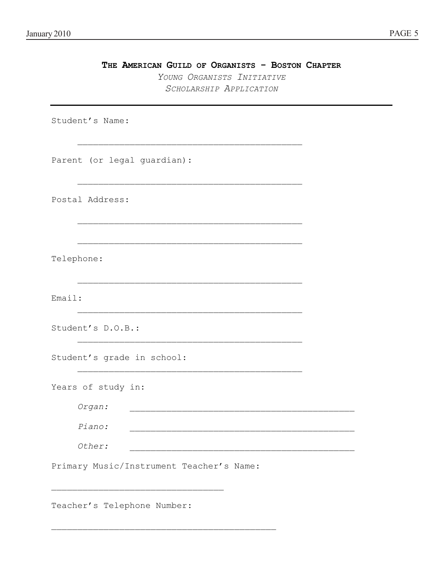| THE AMERICAN GUILD OF ORGANISTS - BOSTON CHAPTER<br>YOUNG ORGANISTS INITIATIVE<br>SCHOLARSHIP APPLICATION |  |
|-----------------------------------------------------------------------------------------------------------|--|
| Student's Name:                                                                                           |  |
| Parent (or legal guardian):                                                                               |  |
| Postal Address:                                                                                           |  |
| Telephone:                                                                                                |  |
| Email:                                                                                                    |  |
| Student's D.O.B.:                                                                                         |  |
| Student's grade in school:                                                                                |  |
| Years of study in:                                                                                        |  |
| Organ:                                                                                                    |  |
| Piano:                                                                                                    |  |
| Other:                                                                                                    |  |
| Primary Music/Instrument Teacher's Name:                                                                  |  |

Teacher's Telephone Number:

 $\mathcal{L}_\text{max}$  and the contract of the contract of the contract of the contract of the contract of the contract of the contract of the contract of the contract of the contract of the contract of the contract of the contrac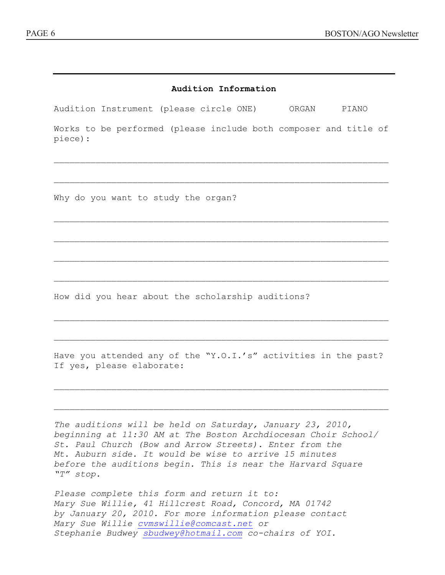| Audition Information                                                                         |  |  |  |  |  |  |
|----------------------------------------------------------------------------------------------|--|--|--|--|--|--|
| Audition Instrument (please circle ONE) ORGAN PIANO                                          |  |  |  |  |  |  |
| Works to be performed (please include both composer and title of<br>piece):                  |  |  |  |  |  |  |
| Why do you want to study the organ?                                                          |  |  |  |  |  |  |
|                                                                                              |  |  |  |  |  |  |
| How did you hear about the scholarship auditions?                                            |  |  |  |  |  |  |
|                                                                                              |  |  |  |  |  |  |
| Have you attended any of the "Y.O.I.'s" activities in the past?<br>If yes, please elaborate: |  |  |  |  |  |  |

*The auditions will be held on Saturday, January 23, 2010, beginning at 11:30 AM at The Boston Archdiocesan Choir School/ St. Paul Church (Bow and Arrow Streets). Enter from the Mt. Auburn side. It would be wise to arrive 15 minutes before the auditions begin. This is near the Harvard Square "T" stop.* 

 $\mathcal{L}_\text{max} = \mathcal{L}_\text{max} = \mathcal{L}_\text{max} = \mathcal{L}_\text{max} = \mathcal{L}_\text{max} = \mathcal{L}_\text{max} = \mathcal{L}_\text{max} = \mathcal{L}_\text{max} = \mathcal{L}_\text{max} = \mathcal{L}_\text{max} = \mathcal{L}_\text{max} = \mathcal{L}_\text{max} = \mathcal{L}_\text{max} = \mathcal{L}_\text{max} = \mathcal{L}_\text{max} = \mathcal{L}_\text{max} = \mathcal{L}_\text{max} = \mathcal{L}_\text{max} = \mathcal{$ 

 $\mathcal{L}_\text{max} = \mathcal{L}_\text{max} = \mathcal{L}_\text{max} = \mathcal{L}_\text{max} = \mathcal{L}_\text{max} = \mathcal{L}_\text{max} = \mathcal{L}_\text{max} = \mathcal{L}_\text{max} = \mathcal{L}_\text{max} = \mathcal{L}_\text{max} = \mathcal{L}_\text{max} = \mathcal{L}_\text{max} = \mathcal{L}_\text{max} = \mathcal{L}_\text{max} = \mathcal{L}_\text{max} = \mathcal{L}_\text{max} = \mathcal{L}_\text{max} = \mathcal{L}_\text{max} = \mathcal{$ 

*Please complete this form and return it to: Mary Sue Willie, 41 Hillcrest Road, Concord, MA 01742 by January 20, 2010. For more information please contact Mary Sue Willie cvmswillie@comcast.net or Stephanie Budwey sbudwey@hotmail.com co-chairs of YOI.*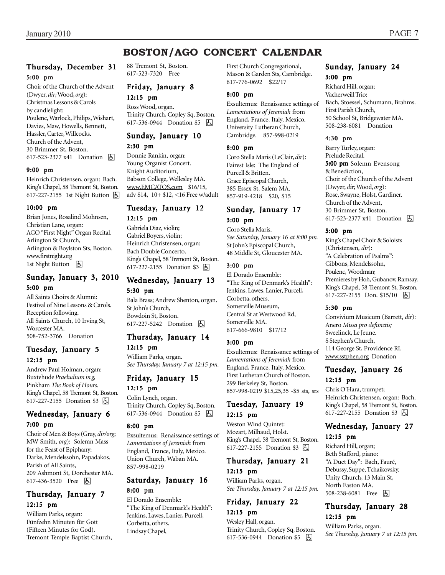### **BOSTON/AGO CONCERT CALENDAR**

### Thursday, December 31

#### 5:00 pm

Choir of the Church of the Advent (Dwyer, *dir;* Wood, *org*): Christmas Lessons & Carols by candlelight: Poulenc, Warlock, Philips, Wishart, Davies, Maw, Howells, Bennett, Hassler, Carter, Willcocks. Church of the Advent, 30 Brimmer St, Boston. 617-523-2377 x41 Donation h

#### 9:00 pm

Heinrich Christensen, organ: Bach. King's Chapel, 58 Tremont St, Boston. 617-227-2155 1st Night Button  $\Box$ 

#### 10:00 pm

Brian Jones, Rosalind Mohnsen, Christian Lane, organ: AGO "First Night" Organ Recital. Arlington St Church, Arlington & Boylston Sts, Boston. www.firstnight.org 1st Night Button **b** 

### Sunday, January 3, 2010

#### 5:00 pm

All Saints Choirs & Alumni: Festival of Nine Lessons & Carols. Reception following. All Saints Church, 10 Irving St, Worcester MA. 508-752-3766 Donation

#### Tuesday, January 5 12:15 pm

Andrew Paul Holman, organ: Buxtehude *Praeludium in g,* Pinkham *The Book of Hours.* King's Chapel, 58 Tremont St, Boston. 617-227-2155 Donation \$3 因

#### Wednesday, January 6 7:00 pm

Choir of Men & Boys (Gray, *dir/org*; MW Smith, *org*): Solemn Mass for the Feast of Epiphany: Darke, Mendelssohn, Papadakos. Parish of All Saints, 209 Ashmont St, Dorchester MA. 617-436-3520 Free 因

### Thursday, January 7 12:15 pm

William Parks, organ: Fünfzehn Minuten für Gott (Fifteen Minutes for God). Tremont Temple Baptist Church, 88 Tremont St, Boston. 617-523-7320 Free

#### Friday, January 8 12:15 pm

Ross Wood, organ. Trinity Church, Copley Sq, Boston. 617-536-0944 Donation \$5 **b** 

#### Sunday, January 10 2:30 pm

Donnie Rankin, organ: Young Organist Concert. Knight Auditorium, Babson College, Wellesley MA. www.EMCATOS.com \$16/15,

#### Tuesday, January 12 12:15 pm

adv \$14, 10+ \$12, <16 Free w/adult

Gabriela Diaz, violin; Gabriel Boyers, violin; Heinrich Christensen, organ: Bach Double Concerto. King's Chapel, 58 Tremont St, Boston. 617-227-2155 Donation \$3 因

### Wednesday, January 13 5:30 pm

Bala Brass; Andrew Shenton, organ. St John's Church, Bowdoin St, Boston. 617-227-5242 Donation  $\boxed{6}$ 

#### Thursday, January 14

12:15 pm William Parks, organ. *See Thursday, January 7 at 12:15 pm.*

#### Friday, January 15 12:15 pm

Colin Lynch, organ. Trinity Church, Copley Sq, Boston. 617-536-0944 Donation \$5 | A

#### 8:00 pm

Exsultemus: Renaissance settings of *Lamentations of Jeremiah* from England, France, Italy, Mexico. Union Church, Waban MA. 857-998-0219

#### Saturday, January 16 8:00 pm

El Dorado Ensemble: "The King of Denmark's Health": Jenkins, Lawes, Lanier, Purcell, Corbetta, others. Lindsay Chapel,

First Church Congregational, Mason & Garden Sts, Cambridge. 617-776-0692 \$22/17

#### 8:00 pm

Exsultemus: Renaissance settings of *Lamentations of Jeremiah* from England, France, Italy, Mexico. University Lutheran Church, Cambridge. 857-998-0219

#### 8:00 pm

Coro Stella Maris (LeClair, *dir*): Fairest Isle: The England of Purcell & Britten. Grace Episcopal Church, 385 Essex St, Salem MA. 857-919-4218 \$20, \$15

#### Sunday, January 17 3:00 pm

Coro Stella Maris. *See Saturday, January 16 at 8:00 pm.* St John's Episcopal Church, 48 Middle St, Gloucester MA.

#### 3:00 pm

El Dorado Ensemble: "The King of Denmark's Health": Jenkins, Lawes, Lanier, Purcell, Corbetta, others. Somerville Museum, Central St at Westwood Rd, Somerville MA. 617-666-9810 \$17/12

#### 3:00 pm

Exsultemus: Renaissance settings of *Lamentations of Jeremiah* from England, France, Italy, Mexico. First Lutheran Church of Boston. 299 Berkeley St, Boston. 857-998-0219 \$15,25,35 -\$5 sts, srs

#### Tuesday, January 19

#### 12:15 pm

Weston Wind Quintet: Mozart, Milhaud, Holst. King's Chapel, 58 Tremont St, Boston. 617-227-2155 Donation \$3 **A** 

#### Thursday, January 21 12:15 pm

William Parks, organ. *See Thursday, January 7 at 12:15 pm.*

#### Friday, January 22 12:15 pm

Wesley Hall, organ. Trinity Church, Copley Sq, Boston. 617-536-0944 Donation \$5 **b** 

## Sunday, January 24

3:00 pm

Richard Hill, organ; Vacherweill Trio: Bach, Stoessel, Schumann, Brahms. First Parish Church, 50 School St, Bridgewater MA. 508-238-6081 Donation

#### 4:30 pm

Barry Turley, organ: Prelude Recital. 5:00 pm Solemn Evensong & Benediction, Choir of the Church of the Advent (Dwyer, *dir;* Wood, *org*): Rose, Swayne, Holst, Gardiner. Church of the Advent, 30 Brimmer St, Boston. 617-523-2377 x41 Donation **b** 

#### 5:00 pm

King's Chapel Choir & Soloists (Christensen, *dir*): "A Celebration of Psalms": Gibbons, Mendelssohn, Poulenc, Woodman; Premieres by Hoh, Gubanov, Ramsay. King's Chapel, 58 Tremont St, Boston. 617-227-2155 Don. \$15/10 | A

#### 5:30 pm

Convivium Musicum (Barrett, *dir*): Anero *Missa pro defunctis;* Sweelinck, Le Jeune. S Stephen's Church, 114 George St, Providence RI. www.sstphen.org Donation

#### Tuesday, January 26 12:15 pm

Chris O'Hara, trumpet; Heinrich Christensen, organ: Bach. King's Chapel, 58 Tremont St, Boston. 617-227-2155 Donation \$3 因

#### Wednesday, January 27

#### 12:15 pm

Richard Hill, organ; Beth Stafford, piano: "A Duet Day": Bach, Fauré, Debussy, Suppe, Tchaikovsky. Unity Church, 13 Main St, North Easton MA. 508-238-6081 Free **A** 

#### Thursday, January 28 12:15 pm

William Parks, organ. *See Thursday, January 7 at 12:15 pm.*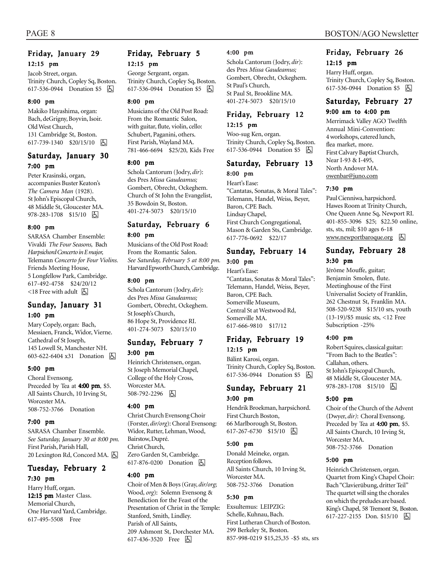#### Friday, January 29 12:15 pm

Jacob Street, organ. Trinity Church, Copley Sq, Boston. 617-536-0944 Donation \$5 **b** 

#### 8:00 pm

Makiko Hayashima, organ: Bach, deGrigny, Boyvin, Isoir. Old West Church, 131 Cambridge St, Boston. 617-739-1340 \$20/15/10 因

#### Saturday, January 30 7:00 pm

Peter Krasinski, organ, accompanies Buster Keaton's *The Camera Man* (1928). St John's Episcopal Church, 48 Middle St, Gloucester MA. 978-283-1708 \$15/10 因

#### 8:00 pm

SARASA Chamber Ensemble: Vivaldi *The Four Seasons,* Bach *Harpsichord Concerto in E major,* Telemann *Concerto for Four Violins.* Friends Meeting House, 5 Longfellow Park, Cambridge. 617-492-4758 \$24/20/12  $\leq$ 18 Free with adult  $\sqrt{5}$ 

#### Sunday, January 31 1:00 pm

Mary Copely, organ: Bach, Messiaen, Franck, Widor, Vierne. Cathedral of St Joseph, 145 Lowell St, Manchester NH. 603-622-6404 x31 Donation h

#### 5:00 pm

Choral Evensong. Preceded by Tea at 4:00 pm, \$5. All Saints Church, 10 Irving St, Worcester MA. 508-752-3766 Donation

#### 7:00 pm

SARASA Chamber Ensemble. *See Saturday, January 30 at 8:00 pm.* First Parish, Parish Hall, 20 Lexington Rd, Concord MA. [5]

#### Tuesday, February 2

7:30 pm Harry Huff, organ. 12:15 pm Master Class. Memorial Church, One Harvard Yard, Cambridge. 617-495-5508 Free

#### Friday, February 5 12:15 pm

George Sergeant, organ. Trinity Church, Copley Sq, Boston. 617-536-0944 Donation \$5 | A

#### 8:00 pm

Musicians of the Old Post Road: From the Romantic Salon, with guitar, flute*,* violin, cello: Schubert, Paganini, others. First Parish, Wayland MA. 781-466-6694 \$25/20, Kids Free

#### 8:00 pm

Schola Cantorum (Jodry, *dir*): des Pres *Missa Gaudeamus;* Gombert, Obrecht, Ockeghem. Church of St John the Evangelist, 35 Bowdoin St, Boston. 401-274-5073 \$20/15/10

#### Saturday, February 6 8:00 pm

Musicians of the Old Post Road: From the Romantic Salon. *See Saturday, February 5 at 8:00 pm.* Harvard Epworth Church, Cambridge.

#### 8:00 pm

Schola Cantorum (Jodry, *dir*): des Pres *Missa Gaudeamus;* Gombert, Obrecht, Ockeghem. St Joseph's Church, 86 Hope St, Providence RI. 401-274-5073 \$20/15/10

#### Sunday, February 7 3:00 pm

Heinrich Christensen, organ. St Joseph Memorial Chapel, College of the Holy Cross, Worcester MA. 508-792-2296 4

#### 4:00 pm

Christ Church Evensong Choir (Forster, *dir/org*): Choral Evensong: Widor, Rutter, Lehman, Wood, Bairstow, Dupré. Christ Church, Zero Garden St, Cambridge. 617-876-0200 Donation **A** 

#### 4:00 pm

Choir of Men & Boys (Gray, *dir/org*; Wood, *org*): Solemn Evensong & Benediction for the Feast of the Presentation of Christ in the Temple: Stanford, Smith, Lindley. Parish of All Saints, 209 Ashmont St, Dorchester MA. 617-436-3520 Free 因

#### 4:00 pm

Schola Cantorum (Jodry, *dir*): des Pres *Missa Gaudeamus;* Gombert, Obrecht, Ockeghem. St Paul's Church, St Paul St, Brookline MA. 401-274-5073 \$20/15/10

#### Friday, February 12 12:15 pm

Woo-sug Ken, organ. Trinity Church, Copley Sq, Boston. 617-536-0944 Donation \$5 | 4

### Saturday, February 13

#### 8:00 pm

Heart's Ease: "Cantatas, Sonatas, & Moral Tales": Telemann, Handel, Weiss, Beyer, Baron, CPE Bach. Lindsay Chapel, First Church Congregational, Mason & Garden Sts, Cambridge. 617-776-0692 \$22/17

#### Sunday, February 14 3:00 pm

#### Heart's Ease:

"Cantatas, Sonatas & Moral Tales": Telemann, Handel, Weiss, Beyer, Baron, CPE Bach. Somerville Museum, Central St at Westwood Rd, Somerville MA. 617-666-9810 \$17/12

#### Friday, February 19 12:15 pm

Bálint Karosi, organ. Trinity Church, Copley Sq, Boston. 617-536-0944 Donation \$5 **b** 

#### Sunday, February 21 3:00 pm

Hendrik Broekman, harpsichord. First Church Boston, 66 Marlborough St, Boston. 617-267-6730 \$15/10 因

#### 5:00 pm

Donald Meineke, organ. Reception follows. All Saints Church, 10 Irving St, Worcester MA. 508-752-3766 Donation

#### 5:30 pm

Exsultemus: LEIPZIG: Schelle, Kuhnau, Bach. First Lutheran Church of Boston. 299 Berkeley St, Boston. 857-998-0219 \$15,25,35 -\$5 sts, srs

#### Friday, February 26 12:15 pm

Harry Huff, organ. Trinity Church, Copley Sq, Boston. 617-536-0944 Donation \$5 | A

#### Saturday, February 27

#### 9:00 am to 4:00 pm

Merrimack Valley AGO Twelfth Annual Mini-Convention: 4 workshops, catered lunch, flea market, more. First Calvary Baptist Church, Near I-93 & I-495, North Andover MA. owenbar@juno.com

#### 7:30 pm

Paul Cienniwa, harpsichord. Hawes Room at Trinity Church, One Queen Anne Sq, Newport RI. 401-855-3096 \$25; \$22.50 online, sts, sts, mil; \$10 ages 6-18  $www. new portfolio to are correct.$ 

#### Sunday, February 28 3:30 pm

Jérôme Mouffe, guitar; Benjamin Smolen, flute. Meetinghouse of the First Universalist Society of Franklin, 262 Chestnut St, Franklin MA. 508-520-9238 \$15/10 srs, youth (13-19)/\$5 music sts, <12 Free Subscription -25%

#### 4:00 pm

Robert Squires, classical guitar: "From Bach to the Beatles": Callahan, others. St John's Episcopal Church, 48 Middle St, Gloucester MA. 978-283-1708 \$15/10 | 5

#### 5:00 pm

Choir of the Church of the Advent (Dwyer, *dir)*: Choral Evensong. Preceded by Tea at 4:00 pm, \$5. All Saints Church, 10 Irving St, Worcester MA. 508-752-3766 Donation

#### 5:00 pm

Heinrich Christensen, organ. Quartet from King's Chapel Choir: Bach "Clavierübung, dritter Teil" The quartet will sing the chorales on which the preludes are based. King's Chapel, 58 Tremont St, Boston. 617-227-2155 Don. \$15/10 囚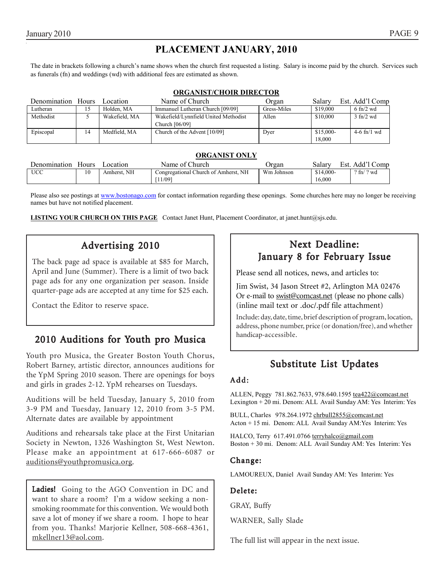### **PLACEMENT JANUARY, 2010**

The date in brackets following a church's name shows when the church first requested a listing. Salary is income paid by the church. Services such as funerals (fn) and weddings (wd) with additional fees are estimated as shown.

#### **ORGANIST/CHOIR DIRECTOR**

| Denomination Hours |    | Location      | Name of Church                                         | Organ       | Salary               | Est. Add'l Comp      |
|--------------------|----|---------------|--------------------------------------------------------|-------------|----------------------|----------------------|
| Lutheran           | 15 | Holden. MA    | Immanuel Lutheran Church [09/09]                       | Gress-Miles | \$19,000             | $6 \text{ ft}$ /2 wd |
| Methodist          |    | Wakefield, MA | Wakefield/Lynnfield United Methodist<br>Church [06/09] | Allen       | \$10,000             | $3$ fn/2 wd          |
| Episcopal          | 14 | Medfield, MA  | Church of the Advent [10/09]                           | Dver        | $$15,000-$<br>18.000 | $4-6$ fn/1 wd        |

#### **ORGANIST ONLY**

| Denomination | <b>Hours</b> | ocation        | Name of Church                          | Jrgan      | salarv<br>Est. | . Add' <sup>1</sup><br>.) omb |
|--------------|--------------|----------------|-----------------------------------------|------------|----------------|-------------------------------|
| <b>UCC</b>   | 10           | NH<br>Amherst. | NH<br>Congregational Church of Amherst. | Wm Johnson | $$14,000-$     | $'$ ? wd<br>$2 \text{ fn/}.$  |
|              |              |                | 11/09                                   |            | 16.000         |                               |

Please also see postings at www.bostonago.com for contact information regarding these openings. Some churches here may no longer be receiving names but have not notified placement.

**LISTING YOUR CHURCH ON THIS PAGE** Contact Janet Hunt, Placement Coordinator, at janet.hunt@sjs.edu.

### Advertising 2010

The back page ad space is available at \$85 for March, April and June (Summer). There is a limit of two back page ads for any one organization per season. Inside quarter-page ads are accepted at any time for \$25 each.

Contact the Editor to reserve space.

### 2010 Auditions for Youth pro Musica

Youth pro Musica, the Greater Boston Youth Chorus, Robert Barney, artistic director, announces auditions for the YpM Spring 2010 season. There are openings for boys and girls in grades 2-12. YpM rehearses on Tuesdays.

Auditions will be held Tuesday, January 5, 2010 from 3-9 PM and Tuesday, January 12, 2010 from 3-5 PM. Alternate dates are available by appointment

Auditions and rehearsals take place at the First Unitarian Society in Newton, 1326 Washington St, West Newton. Please make an appointment at 617-666-6087 or auditions@youthpromusica.org.

Ladies! Going to the AGO Convention in DC and want to share a room? I'm a widow seeking a nonsmoking roommate for this convention. We would both save a lot of money if we share a room. I hope to hear from you. Thanks! Marjorie Kellner, 508-668-4361, mkellner13@aol.com.

### Next Deadline: January 8 for February Issue

Please send all notices, news, and articles to:

Jim Swist, 34 Jason Street #2, Arlington MA 02476 Or e-mail to swist@comcast.net (please no phone calls) (inline mail text or .doc/.pdf file attachment)

Include: day, date, time, brief description of program, location, address, phone number, price (or donation/free), and whether handicap-accessible.

### Substitute List Updates

#### Add:

ALLEN, Peggy 781.862.7633, 978.640.1595 tea422@comcast.net Lexington + 20 mi. Denom: ALL Avail Sunday AM: Yes Interim: Yes

BULL, Charles 978.264.1972 chrbull2855@comcast.net Acton + 15 mi. Denom: ALL Avail Sunday AM:Yes Interim: Yes

HALCO, Terry 617.491.0766 terryhalco@gmail.com Boston + 30 mi. Denom: ALL Avail Sunday AM: Yes Interim: Yes

#### Change:

LAMOUREUX, Daniel Avail Sunday AM: Yes Interim: Yes

#### Delete:

GRAY, Buffy

WARNER, Sally Slade

The full list will appear in the next issue.